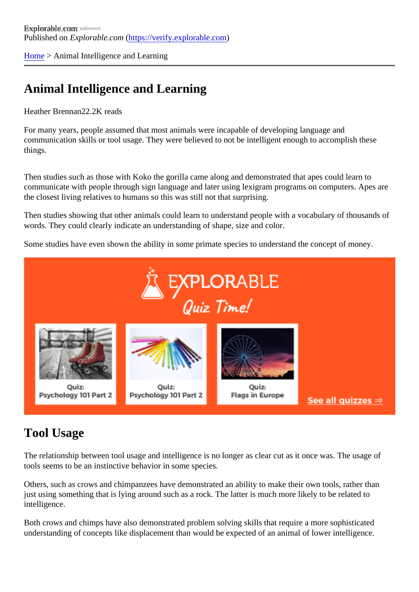[Home](https://verify.explorable.com/) > Animal Intelligence and Learning

## Animal Intelligence and Learning

Heather Brennan<sub>2.2K</sub> reads

For many years, people assumed that most animals were incapable of developing language and communication skills or tool usage. They were believed to not be intelligent enough to accomplish these things.

Then studies such as those with Koko the gorilla came along and demonstrated that apes could learn to communicate with people through sign language and later using lexigram programs on computers. Apes a the closest living relatives to humans so this was still not that surprising.

Then studies showing that other animals could learn to understand people with a vocabulary of thousands words. They could clearly indicate an understanding of shape, size and color.

Some studies have even shown the ability in some primate species to understand the concept of money.

## Tool Usage

The relationship between tool usage and intelligence is no longer as clear cut as it once was. The usage of tools seems to be an instinctive behavior in some species.

Others, such as crows and chimpanzees have demonstrated an ability to make their own tools, rather than just using something that is lying around such as a rock. The latter is much more likely to be related to intelligence.

Both crows and chimps have also demonstrated problem solving skills that require a more sophisticated understanding of concepts like displacement than would be expected of an animal of lower intelligence.